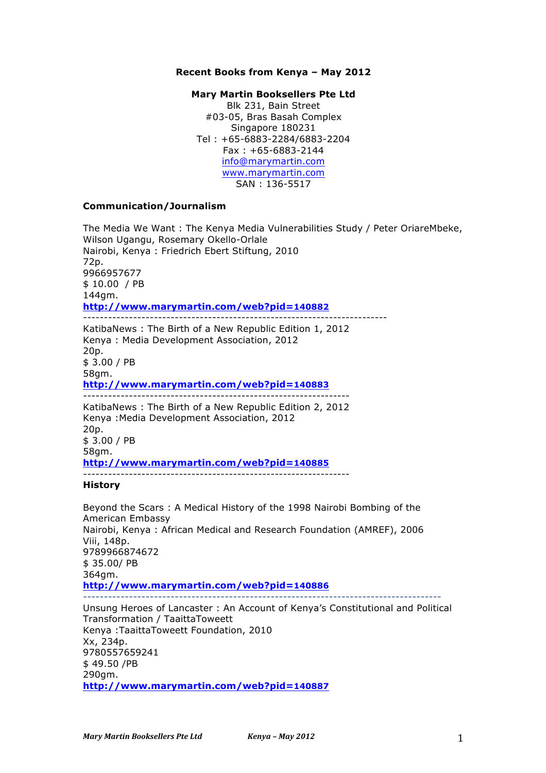## **Recent Books from Kenya – May 2012**

## **Mary Martin Booksellers Pte Ltd**

Blk 231, Bain Street #03-05, Bras Basah Complex Singapore 180231 Tel : +65-6883-2284/6883-2204 Fax : +65-6883-2144 info@marymartin.com www.marymartin.com SAN : 136-5517

## **Communication/Journalism**

The Media We Want : The Kenya Media Vulnerabilities Study / Peter OriareMbeke, Wilson Ugangu, Rosemary Okello-Orlale Nairobi, Kenya : Friedrich Ebert Stiftung, 2010 72p. 9966957677 \$ 10.00 / PB 144gm. **http://www.marymartin.com/web?pid=140882** ------------------------------------------------------------------------- KatibaNews : The Birth of a New Republic Edition 1, 2012 Kenya : Media Development Association, 2012

20p. \$ 3.00 / PB 58gm. **http://www.marymartin.com/web?pid=140883** ---------------------------------------------------------------- KatibaNews : The Birth of a New Republic Edition 2, 2012 Kenya :Media Development Association, 2012 20p.

\$ 3.00 / PB 58gm. **http://www.marymartin.com/web?pid=140885** ----------------------------------------------------------------

## **History**

Beyond the Scars : A Medical History of the 1998 Nairobi Bombing of the American Embassy Nairobi, Kenya : African Medical and Research Foundation (AMREF), 2006 Viii, 148p. 9789966874672 \$ 35.00/ PB 364gm. **http://www.marymartin.com/web?pid=140886** -------------------------------------------------------------------------------------- Unsung Heroes of Lancaster : An Account of Kenya's Constitutional and Political Transformation / TaaittaToweett Kenya :TaaittaToweett Foundation, 2010 Xx, 234p. 9780557659241 \$ 49.50 /PB 290gm.

**http://www.marymartin.com/web?pid=140887**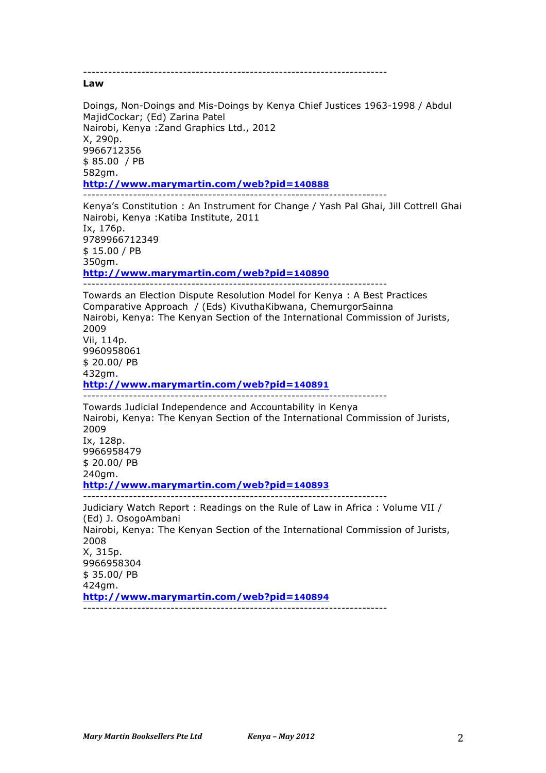------------------------------------------------------------------------- **Law** Doings, Non-Doings and Mis-Doings by Kenya Chief Justices 1963-1998 / Abdul MajidCockar; (Ed) Zarina Patel Nairobi, Kenya :Zand Graphics Ltd., 2012 X, 290p. 9966712356 \$ 85.00 / PB 582gm. **http://www.marymartin.com/web?pid=140888** ------------------------------------------------------------------------- Kenya's Constitution : An Instrument for Change / Yash Pal Ghai, Jill Cottrell Ghai Nairobi, Kenya :Katiba Institute, 2011 Ix, 176p. 9789966712349 \$ 15.00 / PB 350gm. **http://www.marymartin.com/web?pid=140890** ------------------------------------------------------------------------- Towards an Election Dispute Resolution Model for Kenya : A Best Practices Comparative Approach / (Eds) KivuthaKibwana, ChemurgorSainna Nairobi, Kenya: The Kenyan Section of the International Commission of Jurists, 2009 Vii, 114p. 9960958061 \$ 20.00/ PB 432gm. **http://www.marymartin.com/web?pid=140891** ------------------------------------------------------------------------- Towards Judicial Independence and Accountability in Kenya Nairobi, Kenya: The Kenyan Section of the International Commission of Jurists, 2009 Ix, 128p. 9966958479 \$ 20.00/ PB 240gm. **http://www.marymartin.com/web?pid=140893** ------------------------------------------------------------------------- Judiciary Watch Report : Readings on the Rule of Law in Africa : Volume VII / (Ed) J. OsogoAmbani Nairobi, Kenya: The Kenyan Section of the International Commission of Jurists, 2008 X, 315p. 9966958304 \$ 35.00/ PB 424gm. **http://www.marymartin.com/web?pid=140894** -------------------------------------------------------------------------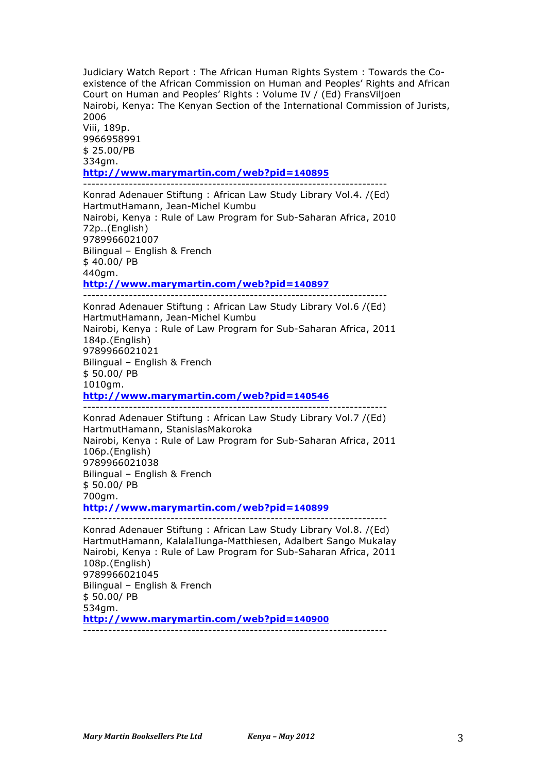Judiciary Watch Report : The African Human Rights System : Towards the Coexistence of the African Commission on Human and Peoples' Rights and African Court on Human and Peoples' Rights : Volume IV / (Ed) FransViljoen Nairobi, Kenya: The Kenyan Section of the International Commission of Jurists, 2006 Viii, 189p. 9966958991 \$ 25.00/PB 334gm. **http://www.marymartin.com/web?pid=140895** ------------------------------------------------------------------------- Konrad Adenauer Stiftung : African Law Study Library Vol.4. /(Ed) HartmutHamann, Jean-Michel Kumbu Nairobi, Kenya : Rule of Law Program for Sub-Saharan Africa, 2010 72p..(English) 9789966021007 Bilingual – English & French \$ 40.00/ PB 440gm. **http://www.marymartin.com/web?pid=140897** ------------------------------------------------------------------------- Konrad Adenauer Stiftung : African Law Study Library Vol.6 /(Ed) HartmutHamann, Jean-Michel Kumbu Nairobi, Kenya : Rule of Law Program for Sub-Saharan Africa, 2011 184p.(English) 9789966021021 Bilingual – English & French \$ 50.00/ PB 1010gm. **http://www.marymartin.com/web?pid=140546** ------------------------------------------------------------------------- Konrad Adenauer Stiftung : African Law Study Library Vol.7 /(Ed) HartmutHamann, StanislasMakoroka Nairobi, Kenya : Rule of Law Program for Sub-Saharan Africa, 2011 106p.(English) 9789966021038 Bilingual – English & French \$ 50.00/ PB 700gm. **http://www.marymartin.com/web?pid=140899** ------------------------------------------------------------------------- Konrad Adenauer Stiftung : African Law Study Library Vol.8. /(Ed) HartmutHamann, KalalaIlunga-Matthiesen, Adalbert Sango Mukalay Nairobi, Kenya : Rule of Law Program for Sub-Saharan Africa, 2011 108p.(English)

9789966021045 Bilingual – English & French \$ 50.00/ PB 534gm. **http://www.marymartin.com/web?pid=140900** -------------------------------------------------------------------------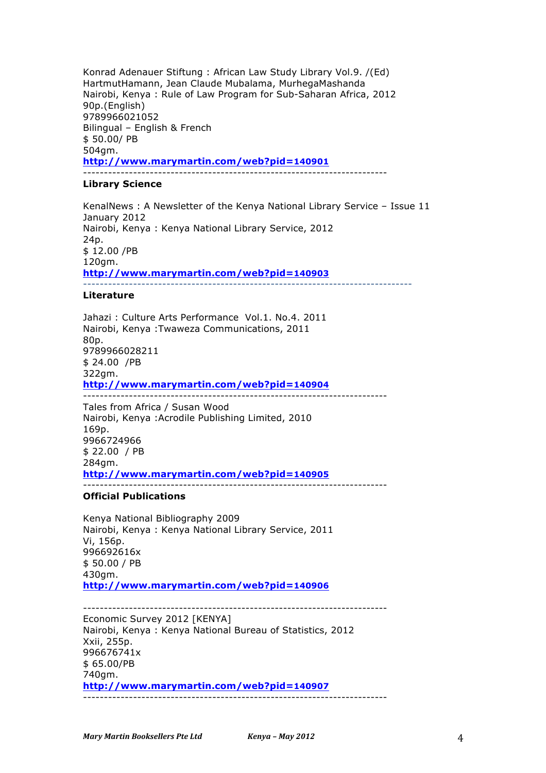Konrad Adenauer Stiftung : African Law Study Library Vol.9. /(Ed) HartmutHamann, Jean Claude Mubalama, MurhegaMashanda Nairobi, Kenya : Rule of Law Program for Sub-Saharan Africa, 2012 90p.(English) 9789966021052 Bilingual – English & French \$ 50.00/ PB 504gm. **http://www.marymartin.com/web?pid=140901** -------------------------------------------------------------------------

### **Library Science**

KenalNews : A Newsletter of the Kenya National Library Service – Issue 11 January 2012 Nairobi, Kenya : Kenya National Library Service, 2012 24p. \$ 12.00 /PB 120gm. **http://www.marymartin.com/web?pid=140903** -------------------------------------------------------------------------------

## **Literature**

Jahazi : Culture Arts Performance Vol.1. No.4. 2011 Nairobi, Kenya :Twaweza Communications, 2011 80p. 9789966028211 \$ 24.00 /PB 322gm. **http://www.marymartin.com/web?pid=140904** -------------------------------------------------------------------------

Tales from Africa / Susan Wood Nairobi, Kenya :Acrodile Publishing Limited, 2010 169p. 9966724966 \$ 22.00 / PB 284gm. **http://www.marymartin.com/web?pid=140905**

#### -------------------------------------------------------------------------

## **Official Publications**

Kenya National Bibliography 2009 Nairobi, Kenya : Kenya National Library Service, 2011 Vi, 156p. 996692616x \$ 50.00 / PB 430gm. **http://www.marymartin.com/web?pid=140906**

------------------------------------------------------------------------- Economic Survey 2012 [KENYA]

Nairobi, Kenya : Kenya National Bureau of Statistics, 2012 Xxii, 255p. 996676741x \$ 65.00/PB 740gm. **http://www.marymartin.com/web?pid=140907** -------------------------------------------------------------------------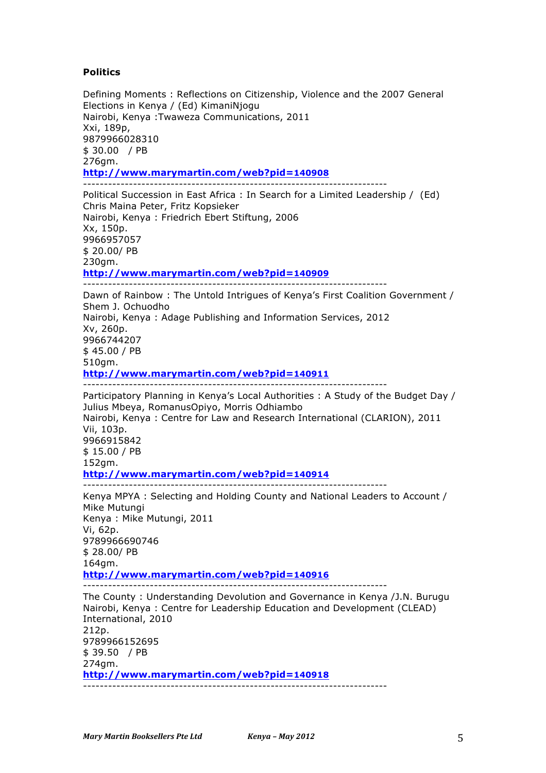# **Politics**

Defining Moments : Reflections on Citizenship, Violence and the 2007 General Elections in Kenya / (Ed) KimaniNjogu Nairobi, Kenya :Twaweza Communications, 2011 Xxi, 189p, 9879966028310 \$ 30.00 / PB 276gm. **http://www.marymartin.com/web?pid=140908** -------------------------------------------------------------------------

Political Succession in East Africa : In Search for a Limited Leadership / (Ed) Chris Maina Peter, Fritz Kopsieker Nairobi, Kenya : Friedrich Ebert Stiftung, 2006 Xx, 150p. 9966957057 \$ 20.00/ PB 230gm. **http://www.marymartin.com/web?pid=140909** -------------------------------------------------------------------------

Dawn of Rainbow : The Untold Intrigues of Kenya's First Coalition Government / Shem J. Ochuodho Nairobi, Kenya : Adage Publishing and Information Services, 2012 Xv, 260p. 9966744207 \$ 45.00 / PB 510gm. **http://www.marymartin.com/web?pid=140911** -------------------------------------------------------------------------

Participatory Planning in Kenya's Local Authorities : A Study of the Budget Day / Julius Mbeya, RomanusOpiyo, Morris Odhiambo Nairobi, Kenya : Centre for Law and Research International (CLARION), 2011 Vii, 103p. 9966915842 \$ 15.00 / PB 152gm. **http://www.marymartin.com/web?pid=140914** -------------------------------------------------------------------------

Kenya MPYA : Selecting and Holding County and National Leaders to Account / Mike Mutungi Kenya : Mike Mutungi, 2011 Vi, 62p. 9789966690746 \$ 28.00/ PB 164gm. **http://www.marymartin.com/web?pid=140916** -------------------------------------------------------------------------

The County : Understanding Devolution and Governance in Kenya /J.N. Burugu Nairobi, Kenya : Centre for Leadership Education and Development (CLEAD) International, 2010 212p. 9789966152695 \$ 39.50 / PB 274gm. **http://www.marymartin.com/web?pid=140918** -------------------------------------------------------------------------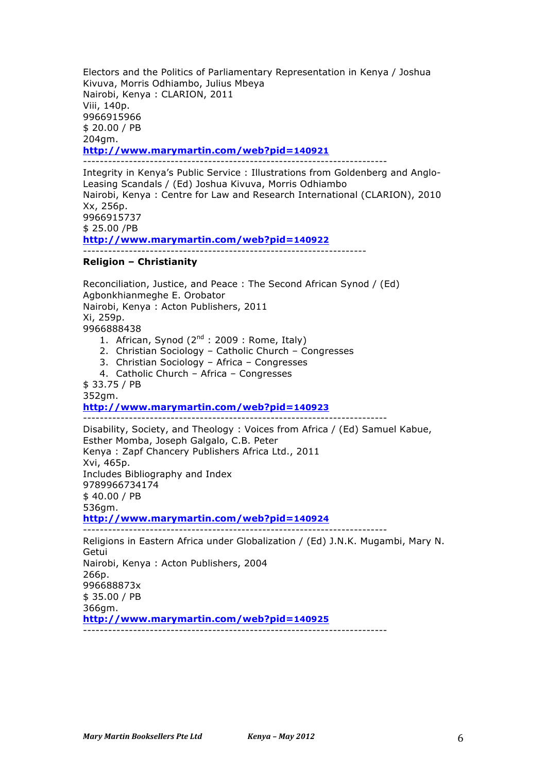Electors and the Politics of Parliamentary Representation in Kenya / Joshua Kivuva, Morris Odhiambo, Julius Mbeya Nairobi, Kenya : CLARION, 2011 Viii, 140p. 9966915966 \$ 20.00 / PB 204gm. **http://www.marymartin.com/web?pid=140921** -------------------------------------------------------------------------

Integrity in Kenya's Public Service : Illustrations from Goldenberg and Anglo-Leasing Scandals / (Ed) Joshua Kivuva, Morris Odhiambo Nairobi, Kenya : Centre for Law and Research International (CLARION), 2010 Xx, 256p. 9966915737 \$ 25.00 /PB **http://www.marymartin.com/web?pid=140922** --------------------------------------------------------------------

## **Religion – Christianity**

Reconciliation, Justice, and Peace : The Second African Synod / (Ed) Agbonkhianmeghe E. Orobator Nairobi, Kenya : Acton Publishers, 2011 Xi, 259p. 9966888438

- 1. African, Synod  $(2^{nd} : 2009 :$  Rome, Italy)
- 2. Christian Sociology Catholic Church Congresses
- 3. Christian Sociology Africa Congresses
- 4. Catholic Church Africa Congresses

\$ 33.75 / PB 352gm.

## **http://www.marymartin.com/web?pid=140923**

------------------------------------------------------------------------- Disability, Society, and Theology : Voices from Africa / (Ed) Samuel Kabue, Esther Momba, Joseph Galgalo, C.B. Peter Kenya : Zapf Chancery Publishers Africa Ltd., 2011 Xvi, 465p. Includes Bibliography and Index 9789966734174 \$ 40.00 / PB 536gm. **http://www.marymartin.com/web?pid=140924** -------------------------------------------------------------------------

Religions in Eastern Africa under Globalization / (Ed) J.N.K. Mugambi, Mary N. Getui Nairobi, Kenya : Acton Publishers, 2004 266p. 996688873x \$ 35.00 / PB 366gm. **http://www.marymartin.com/web?pid=140925** -------------------------------------------------------------------------